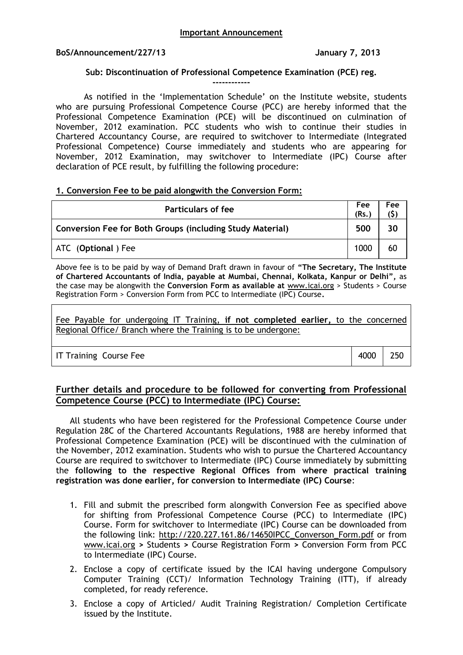## **BoS/Announcement/227/13 January 7, 2013**

## **Sub: Discontinuation of Professional Competence Examination (PCE) reg.**

**------------**

As notified in the 'Implementation Schedule' on the Institute website, students who are pursuing Professional Competence Course (PCC) are hereby informed that the Professional Competence Examination (PCE) will be discontinued on culmination of November, 2012 examination. PCC students who wish to continue their studies in Chartered Accountancy Course, are required to switchover to Intermediate (Integrated Professional Competence) Course immediately and students who are appearing for November, 2012 Examination, may switchover to Intermediate (IPC) Course after declaration of PCE result, by fulfilling the following procedure:

## **1. Conversion Fee to be paid alongwith the Conversion Form:**

| Particulars of fee                                        | Fee<br>(Rs.) | Fee |
|-----------------------------------------------------------|--------------|-----|
| Conversion Fee for Both Groups (including Study Material) | 500          | 30  |
| ATC (Optional) Fee                                        | 1000         | 60  |

Above fee is to be paid by way of Demand Draft drawn in favour of **"The Secretary, The Institute of Chartered Accountants of India, payable at Mumbai, Chennai, Kolkata, Kanpur or Delhi",** as the case may be alongwith the **Conversion Form as available at** www.icai.org > Students > Course Registration Form > Conversion Form from PCC to Intermediate (IPC) Course**.**

Fee Payable for undergoing IT Training, **if not completed earlier,** to the concerned Regional Office/ Branch where the Training is to be undergone:

IT Training Course Fee **1988** 250

# **Further details and procedure to be followed for converting from Professional Competence Course (PCC) to Intermediate (IPC) Course:**

All students who have been registered for the Professional Competence Course under Regulation 28C of the Chartered Accountants Regulations, 1988 are hereby informed that Professional Competence Examination (PCE) will be discontinued with the culmination of the November, 2012 examination. Students who wish to pursue the Chartered Accountancy Course are required to switchover to Intermediate (IPC) Course immediately by submitting the **following to the respective Regional Offices from where practical training registration was done earlier, for conversion to Intermediate (IPC) Course**:

- 1. Fill and submit the prescribed form alongwith Conversion Fee as specified above for shifting from Professional Competence Course (PCC) to Intermediate (IPC) Course. Form for switchover to Intermediate (IPC) Course can be downloaded from the following link: http://220.227.161.86/14650IPCC\_Converson\_Form.pdf or from www.icai.org **>** Students **>** Course Registration Form **>** Conversion Form from PCC to Intermediate (IPC) Course.
- 2. Enclose a copy of certificate issued by the ICAI having undergone Compulsory Computer Training (CCT)/ Information Technology Training (ITT), if already completed, for ready reference.
- 3. Enclose a copy of Articled/ Audit Training Registration/ Completion Certificate issued by the Institute.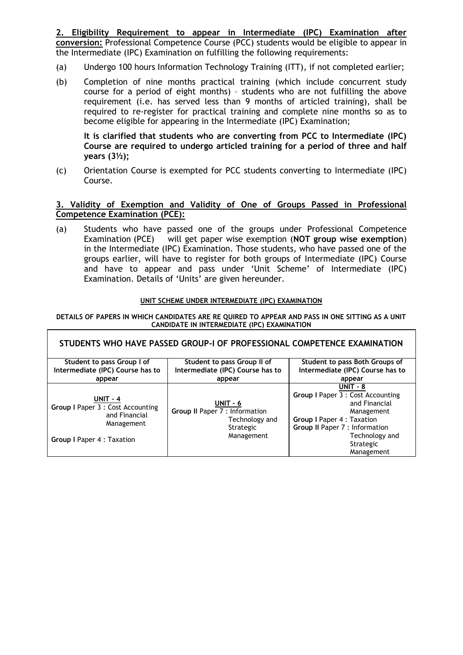**2. Eligibility Requirement to appear in Intermediate (IPC) Examination after conversion:** Professional Competence Course (PCC) students would be eligible to appear in the Intermediate (IPC) Examination on fulfilling the following requirements:

- (a) Undergo 100 hours Information Technology Training (ITT), if not completed earlier;
- (b) Completion of nine months practical training (which include concurrent study course for a period of eight months) – students who are not fulfilling the above requirement (i.e. has served less than 9 months of articled training), shall be required to re-register for practical training and complete nine months so as to become eligible for appearing in the Intermediate (IPC) Examination;

**It is clarified that students who are converting from PCC to Intermediate (IPC) Course are required to undergo articled training for a period of three and half years (3½);**

(c) Orientation Course is exempted for PCC students converting to Intermediate (IPC) Course.

# **3. Validity of Exemption and Validity of One of Groups Passed in Professional Competence Examination (PCE):**

(a) Students who have passed one of the groups under Professional Competence Examination (PCE) will get paper wise exemption (**NOT group wise exemption**) in the Intermediate (IPC) Examination. Those students, who have passed one of the groups earlier, will have to register for both groups of Intermediate (IPC) Course and have to appear and pass under 'Unit Scheme' of Intermediate (IPC) Examination. Details of 'Units' are given hereunder.

## **UNIT SCHEME UNDER INTERMEDIATE (IPC) EXAMINATION**

### **DETAILS OF PAPERS IN WHICH CANDIDATES ARE RE QUIRED TO APPEAR AND PASS IN ONE SITTING AS A UNIT CANDIDATE IN INTERMEDIATE (IPC) EXAMINATION**

 $\overline{1}$ 

| STUDENTS WHO HAVE PASSED GROUP-I OF PROFESSIONAL COMPETENCE EXAMINATION                                           |                                                                                         |                                                                                                                                                                                                    |  |  |
|-------------------------------------------------------------------------------------------------------------------|-----------------------------------------------------------------------------------------|----------------------------------------------------------------------------------------------------------------------------------------------------------------------------------------------------|--|--|
| Student to pass Group I of                                                                                        | Student to pass Group II of                                                             | Student to pass Both Groups of                                                                                                                                                                     |  |  |
| Intermediate (IPC) Course has to                                                                                  | Intermediate (IPC) Course has to                                                        | Intermediate (IPC) Course has to                                                                                                                                                                   |  |  |
| appear                                                                                                            | appear                                                                                  | appear                                                                                                                                                                                             |  |  |
| <b>UNIT - 4</b><br>Group I Paper 3 : Cost Accounting<br>and Financial<br>Management<br>Group I Paper 4 : Taxation | UNIT - 6<br>Group II Paper 7 : Information<br>Technology and<br>Strategic<br>Management | $UNIT - 8$<br><b>Group I Paper 3 : Cost Accounting</b><br>and Financial<br>Management<br>Group I Paper 4 : Taxation<br>Group II Paper 7 : Information<br>Technology and<br>Strategic<br>Management |  |  |